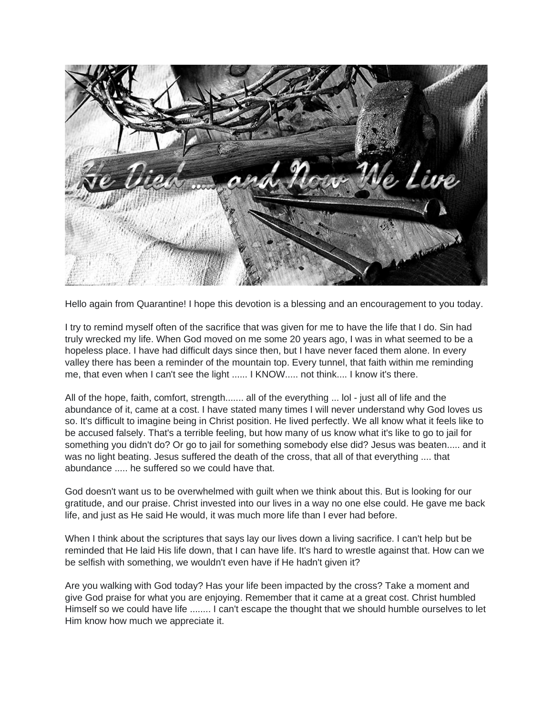

Hello again from Quarantine! I hope this devotion is a blessing and an encouragement to you today.

I try to remind myself often of the sacrifice that was given for me to have the life that I do. Sin had truly wrecked my life. When God moved on me some 20 years ago, I was in what seemed to be a hopeless place. I have had difficult days since then, but I have never faced them alone. In every valley there has been a reminder of the mountain top. Every tunnel, that faith within me reminding me, that even when I can't see the light ...... I KNOW..... not think.... I know it's there.

All of the hope, faith, comfort, strength....... all of the everything ... lol - just all of life and the abundance of it, came at a cost. I have stated many times I will never understand why God loves us so. It's difficult to imagine being in Christ position. He lived perfectly. We all know what it feels like to be accused falsely. That's a terrible feeling, but how many of us know what it's like to go to jail for something you didn't do? Or go to jail for something somebody else did? Jesus was beaten..... and it was no light beating. Jesus suffered the death of the cross, that all of that everything .... that abundance ...... he suffered so we could have that.

God doesn't want us to be overwhelmed with guilt when we think about this. But is looking for our gratitude, and our praise. Christ invested into our lives in a way no one else could. He gave me back life, and just as He said He would, it was much more life than I ever had before.

When I think about the scriptures that says lay our lives down a living sacrifice. I can't help but be reminded that He laid His life down, that I can have life. It's hard to wrestle against that. How can we be selfish with something, we wouldn't even have if He hadn't given it?

Are you walking with God today? Has your life been impacted by the cross? Take a moment and give God praise for what you are enjoying. Remember that it came at a great cost. Christ humbled Himself so we could have life ........ I can't escape the thought that we should humble ourselves to let Him know how much we appreciate it.